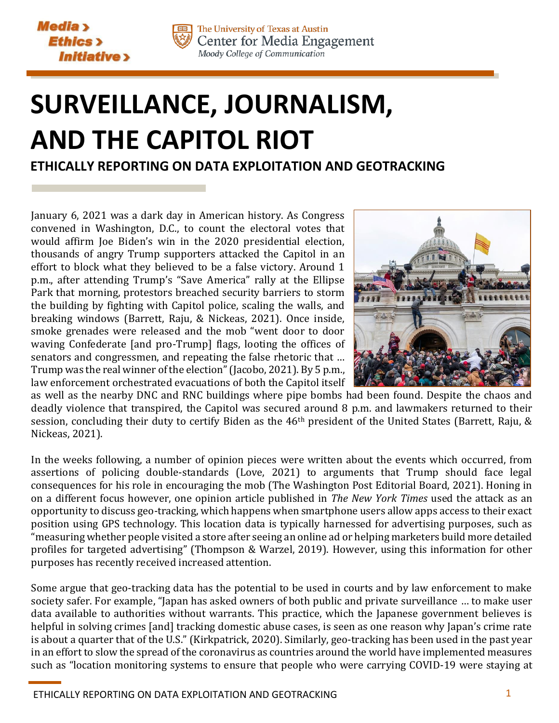



The University of Texas at Austin Center for Media Engagement Moody College of Communication

# **SURVEILLANCE, JOURNALISM, AND THE CAPITOL RIOT**

#### **ETHICALLY REPORTING ON DATA EXPLOITATION AND GEOTRACKING**

January 6, 2021 was a dark day in American history. As Congress convened in Washington, D.C., to count the electoral votes that would affirm Joe Biden's win in the 2020 presidential election, thousands of angry Trump supporters attacked the Capitol in an effort to block what they believed to be a false victory. Around 1 p.m., after attending Trump's "Save America" rally at the Ellipse Park that morning, protestors breached security barriers to storm the building by fighting with Capitol police, scaling the walls, and breaking windows (Barrett, Raju, & Nickeas, 2021). Once inside, smoke grenades were released and the mob "went door to door waving Confederate [and pro-Trump] flags, looting the offices of senators and congressmen, and repeating the false rhetoric that … Trump was the real winner of the election" (Jacobo, 2021). By 5 p.m., law enforcement orchestrated evacuations of both the Capitol itself



as well as the nearby DNC and RNC buildings where pipe bombs had been found. Despite the chaos and deadly violence that transpired, the Capitol was secured around 8 p.m. and lawmakers returned to their session, concluding their duty to certify Biden as the 46<sup>th</sup> president of the United States (Barrett, Raju, & Nickeas, 2021).

In the weeks following, a number of opinion pieces were written about the events which occurred, from assertions of policing double-standards (Love, 2021) to arguments that Trump should face legal consequences for his role in encouraging the mob (The Washington Post Editorial Board, 2021). Honing in on a different focus however, one opinion article published in *The New York Times* used the attack as an opportunity to discuss geo-tracking, which happens when smartphone users allow apps access to their exact position using GPS technology. This location data is typically harnessed for advertising purposes, such as "measuring whether people visited a store after seeing an online ad or helping marketers build more detailed profiles for targeted advertising" (Thompson & Warzel, 2019). However, using this information for other purposes has recently received increased attention.

Some argue that geo-tracking data has the potential to be used in courts and by law enforcement to make society safer. For example, "Japan has asked owners of both public and private surveillance … to make user data available to authorities without warrants. This practice, which the Japanese government believes is helpful in solving crimes [and] tracking domestic abuse cases, is seen as one reason why Japan's crime rate is about a quarter that of the U.S." (Kirkpatrick, 2020). Similarly, geo-tracking has been used in the past year in an effort to slow the spread of the coronavirus as countries around the world have implemented measures such as "location monitoring systems to ensure that people who were carrying COVID-19 were staying at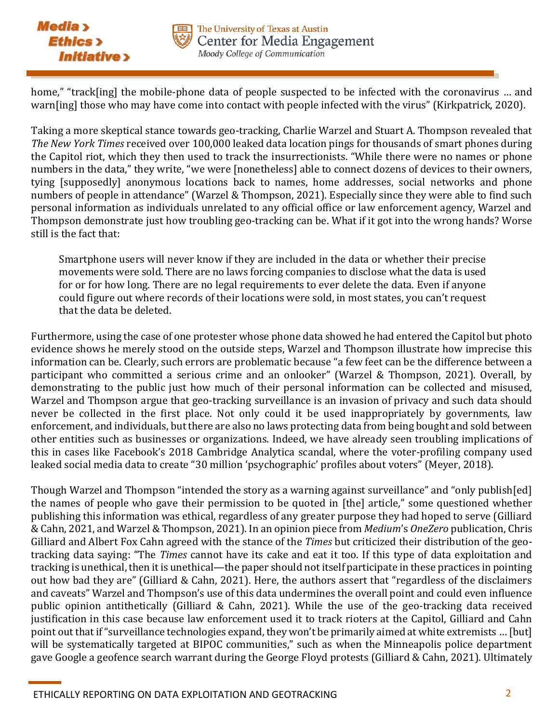



home," "track[ing] the mobile-phone data of people suspected to be infected with the coronavirus ... and warn[ing] those who may have come into contact with people infected with the virus" (Kirkpatrick, 2020).

Taking a more skeptical stance towards geo-tracking, Charlie Warzel and Stuart A. Thompson revealed that *The New York Times* received over 100,000 leaked data location pings for thousands of smart phones during the Capitol riot, which they then used to track the insurrectionists. "While there were no names or phone numbers in the data," they write, "we were [nonetheless] able to connect dozens of devices to their owners, tying [supposedly] anonymous locations back to names, home addresses, social networks and phone numbers of people in attendance" (Warzel & Thompson, 2021). Especially since they were able to find such personal information as individuals unrelated to any official office or law enforcement agency, Warzel and Thompson demonstrate just how troubling geo-tracking can be. What if it got into the wrong hands? Worse still is the fact that:

Smartphone users will never know if they are included in the data or whether their precise movements were sold. There are no laws forcing companies to disclose what the data is used for or for how long. There are no legal requirements to ever delete the data. Even if anyone could figure out where records of their locations were sold, in most states, you can't request that the data be deleted.

Furthermore, using the case of one protester whose phone data showed he had entered the Capitol but photo evidence shows he merely stood on the outside steps, Warzel and Thompson illustrate how imprecise this information can be. Clearly, such errors are problematic because "a few feet can be the difference between a participant who committed a serious crime and an onlooker" (Warzel & Thompson, 2021). Overall, by demonstrating to the public just how much of their personal information can be collected and misused, Warzel and Thompson argue that geo-tracking surveillance is an invasion of privacy and such data should never be collected in the first place. Not only could it be used inappropriately by governments, law enforcement, and individuals, but there are also no laws protecting data from being bought and sold between other entities such as businesses or organizations. Indeed, we have already seen troubling implications of this in cases like Facebook's 2018 Cambridge Analytica scandal, where the voter-profiling company used leaked social media data to create "30 million 'psychographic' profiles about voters" (Meyer, 2018).

Though Warzel and Thompson "intended the story as a warning against surveillance" and "only publish[ed] the names of people who gave their permission to be quoted in [the] article," some questioned whether publishing this information was ethical, regardless of any greater purpose they had hoped to serve (Gilliard & Cahn, 2021, and Warzel & Thompson, 2021). In an opinion piece from *Medium*'s *OneZero* publication, Chris Gilliard and Albert Fox Cahn agreed with the stance of the *Times* but criticized their distribution of the geotracking data saying: "The *Times* cannot have its cake and eat it too. If this type of data exploitation and tracking is unethical, then it is unethical—the paper should not itself participate in these practices in pointing out how bad they are" (Gilliard & Cahn, 2021). Here, the authors assert that "regardless of the disclaimers and caveats" Warzel and Thompson's use of this data undermines the overall point and could even influence public opinion antithetically (Gilliard & Cahn, 2021). While the use of the geo-tracking data received justification in this case because law enforcement used it to track rioters at the Capitol, Gilliard and Cahn point out that if "surveillance technologies expand, they won't be primarily aimed at white extremists … [but] will be systematically targeted at BIPOC communities," such as when the Minneapolis police department gave Google a geofence search warrant during the George Floyd protests (Gilliard & Cahn, 2021). Ultimately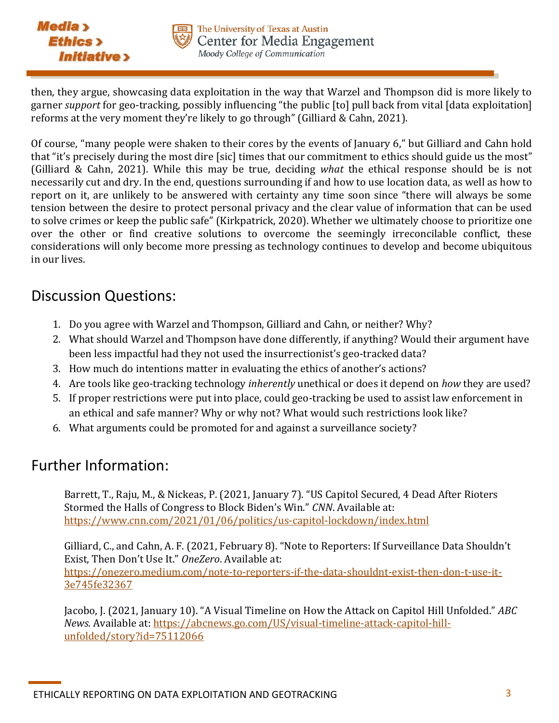



then, they argue, showcasing data exploitation in the way that Warzel and Thompson did is more likely to garner *support* for geo-tracking, possibly influencing "the public [to] pull back from vital [data exploitation] reforms at the very moment they're likely to go through" (Gilliard & Cahn, 2021).

Of course, "many people were shaken to their cores by the events of January 6," but Gilliard and Cahn hold that "it's precisely during the most dire [sic] times that our commitment to ethics should guide us the most" (Gilliard & Cahn, 2021). While this may be true, deciding *what* the ethical response should be is not necessarily cut and dry. In the end, questions surrounding if and how to use location data, as well as how to report on it, are unlikely to be answered with certainty any time soon since "there will always be some tension between the desire to protect personal privacy and the clear value of information that can be used to solve crimes or keep the public safe" (Kirkpatrick, 2020). Whether we ultimately choose to prioritize one over the other or find creative solutions to overcome the seemingly irreconcilable conflict, these considerations will only become more pressing as technology continues to develop and become ubiquitous in our lives.

## Discussion Questions:

- 1. Do you agree with Warzel and Thompson, Gilliard and Cahn, or neither? Why?
- 2. What should Warzel and Thompson have done differently, if anything? Would their argument have been less impactful had they not used the insurrectionist's geo-tracked data?
- 3. How much do intentions matter in evaluating the ethics of another's actions?
- 4. Are tools like geo-tracking technology *inherently* unethical or does it depend on *how* they are used?
- 5. If proper restrictions were put into place, could geo-tracking be used to assist law enforcement in an ethical and safe manner? Why or why not? What would such restrictions look like?
- 6. What arguments could be promoted for and against a surveillance society?

## Further Information:

Barrett, T., Raju, M., & Nickeas, P. (2021, January 7). "US Capitol Secured, 4 Dead After Rioters Stormed the Halls of Congress to Block Biden's Win." *CNN*. Available at: <https://www.cnn.com/2021/01/06/politics/us-capitol-lockdown/index.html>

Gilliard, C., and Cahn, A. F. (2021, February 8). "Note to Reporters: If Surveillance Data Shouldn't Exist, Then Don't Use It." *OneZero*. Available at: [https://onezero.medium.com/note-to-reporters-if-the-data-shouldnt-exist-then-don-t-use-it-](https://onezero.medium.com/note-to-reporters-if-the-data-shouldnt-exist-then-don-t-use-it-3e745fe32367)[3e745fe32367](https://onezero.medium.com/note-to-reporters-if-the-data-shouldnt-exist-then-don-t-use-it-3e745fe32367)

Jacobo, J. (2021, January 10). "A Visual Timeline on How the Attack on Capitol Hill Unfolded." *ABC News*. Available at: [https://abcnews.go.com/US/visual-timeline-attack-capitol-hill](https://abcnews.go.com/US/visual-timeline-attack-capitol-hill-unfolded/story?id=75112066)[unfolded/story?id=75112066](https://abcnews.go.com/US/visual-timeline-attack-capitol-hill-unfolded/story?id=75112066)